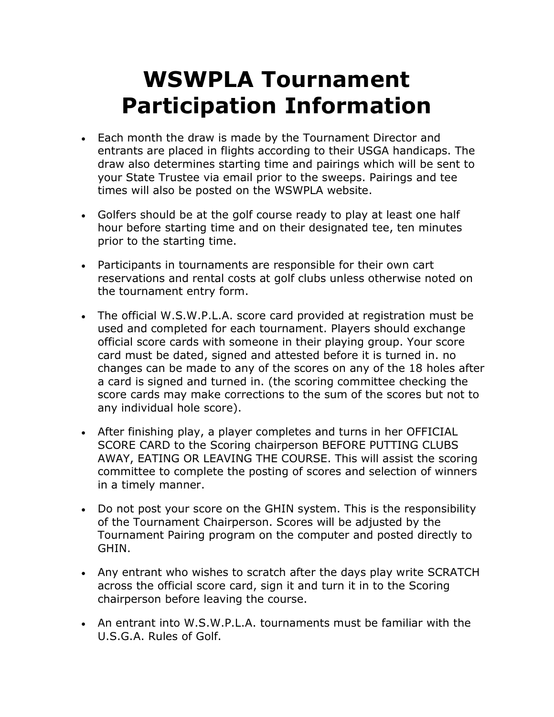## WSWPLA Tournament Participation Information

- Each month the draw is made by the Tournament Director and entrants are placed in flights according to their USGA handicaps. The draw also determines starting time and pairings which will be sent to your State Trustee via email prior to the sweeps. Pairings and tee times will also be posted on the WSWPLA website.
- Golfers should be at the golf course ready to play at least one half hour before starting time and on their designated tee, ten minutes prior to the starting time.
- Participants in tournaments are responsible for their own cart reservations and rental costs at golf clubs unless otherwise noted on the tournament entry form.
- The official W.S.W.P.L.A. score card provided at registration must be used and completed for each tournament. Players should exchange official score cards with someone in their playing group. Your score card must be dated, signed and attested before it is turned in. no changes can be made to any of the scores on any of the 18 holes after a card is signed and turned in. (the scoring committee checking the score cards may make corrections to the sum of the scores but not to any individual hole score).
- After finishing play, a player completes and turns in her OFFICIAL SCORE CARD to the Scoring chairperson BEFORE PUTTING CLUBS AWAY, EATING OR LEAVING THE COURSE. This will assist the scoring committee to complete the posting of scores and selection of winners in a timely manner.
- Do not post your score on the GHIN system. This is the responsibility of the Tournament Chairperson. Scores will be adjusted by the Tournament Pairing program on the computer and posted directly to GHIN.
- Any entrant who wishes to scratch after the days play write SCRATCH across the official score card, sign it and turn it in to the Scoring chairperson before leaving the course.
- An entrant into W.S.W.P.L.A. tournaments must be familiar with the U.S.G.A. Rules of Golf.